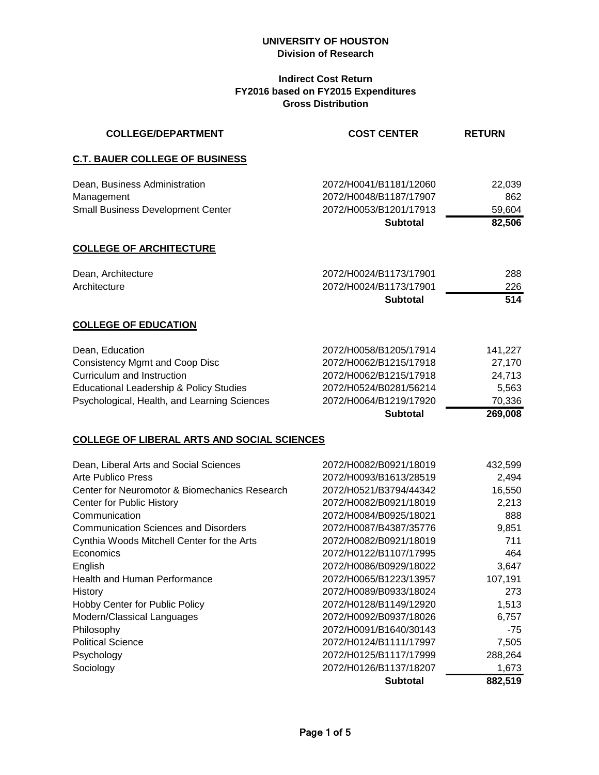# **Indirect Cost Return FY2016 based on FY2015 Expenditures Gross Distribution**

| <b>COLLEGE/DEPARTMENT</b>                          | <b>COST CENTER</b>                        | <b>RETURN</b>    |
|----------------------------------------------------|-------------------------------------------|------------------|
| <b>C.T. BAUER COLLEGE OF BUSINESS</b>              |                                           |                  |
| Dean, Business Administration                      | 2072/H0041/B1181/12060                    | 22,039           |
| Management                                         | 2072/H0048/B1187/17907                    | 862              |
| <b>Small Business Development Center</b>           | 2072/H0053/B1201/17913<br><b>Subtotal</b> | 59,604<br>82,506 |
| <b>COLLEGE OF ARCHITECTURE</b>                     |                                           |                  |
| Dean, Architecture                                 | 2072/H0024/B1173/17901                    | 288              |
| Architecture                                       | 2072/H0024/B1173/17901                    | 226              |
|                                                    | <b>Subtotal</b>                           | 514              |
| <b>COLLEGE OF EDUCATION</b>                        |                                           |                  |
| Dean, Education                                    | 2072/H0058/B1205/17914                    | 141,227          |
| <b>Consistency Mgmt and Coop Disc</b>              | 2072/H0062/B1215/17918                    | 27,170           |
| Curriculum and Instruction                         | 2072/H0062/B1215/17918                    | 24,713           |
| <b>Educational Leadership &amp; Policy Studies</b> | 2072/H0524/B0281/56214                    | 5,563            |
| Psychological, Health, and Learning Sciences       | 2072/H0064/B1219/17920                    | 70,336           |
|                                                    | <b>Subtotal</b>                           | 269,008          |
| <b>COLLEGE OF LIBERAL ARTS AND SOCIAL SCIENCES</b> |                                           |                  |
| Dean, Liberal Arts and Social Sciences             | 2072/H0082/B0921/18019                    | 432,599          |
| <b>Arte Publico Press</b>                          | 2072/H0093/B1613/28519                    | 2,494            |
| Center for Neuromotor & Biomechanics Research      | 2072/H0521/B3794/44342                    | 16,550           |
| Center for Public History                          | 2072/H0082/B0921/18019                    | 2,213            |
| Communication                                      | 2072/H0084/B0925/18021                    | 888              |
| <b>Communication Sciences and Disorders</b>        | 2072/H0087/B4387/35776                    | 9,851            |
| Cynthia Woods Mitchell Center for the Arts         | 2072/H0082/B0921/18019                    | 711              |
| Economics                                          | 2072/H0122/B1107/17995                    | 464              |
| English                                            | 2072/H0086/B0929/18022                    | 3,647            |
| <b>Health and Human Performance</b>                | 2072/H0065/B1223/13957                    | 107,191          |
| History                                            | 2072/H0089/B0933/18024                    | 273              |
| Hobby Center for Public Policy                     | 2072/H0128/B1149/12920                    | 1,513            |
| Modern/Classical Languages                         | 2072/H0092/B0937/18026                    | 6,757            |
| Philosophy                                         | 2072/H0091/B1640/30143                    | $-75$            |
| <b>Political Science</b>                           | 2072/H0124/B1111/17997                    | 7,505            |
| Psychology                                         | 2072/H0125/B1117/17999                    | 288,264          |
| Sociology                                          | 2072/H0126/B1137/18207                    | 1,673            |
|                                                    | <b>Subtotal</b>                           | 882,519          |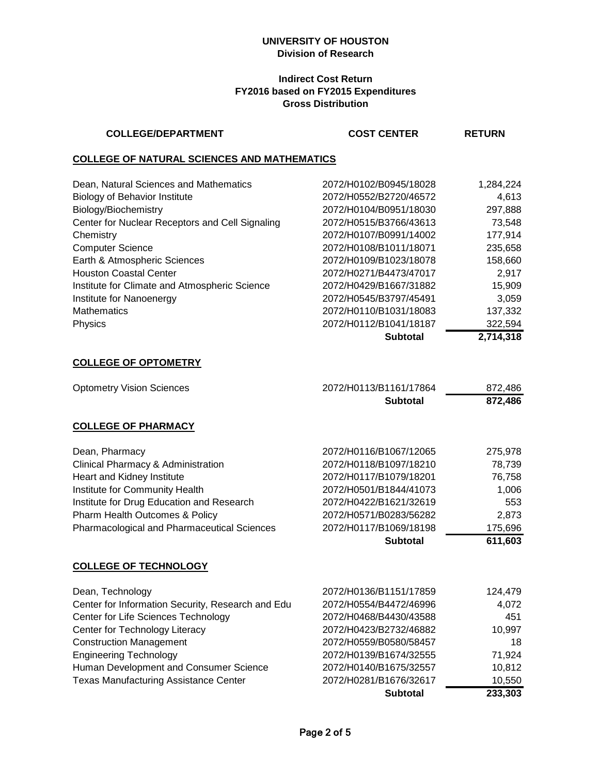### **Indirect Cost Return FY2016 based on FY2015 Expenditures Gross Distribution**

### **COLLEGE/DEPARTMENT COST CENTER**

#### **RETURN**

### **COLLEGE OF NATURAL SCIENCES AND MATHEMATICS**

|                                                 | <b>Subtotal</b>        | 2,714,318 |
|-------------------------------------------------|------------------------|-----------|
| Physics                                         | 2072/H0112/B1041/18187 | 322,594   |
| <b>Mathematics</b>                              | 2072/H0110/B1031/18083 | 137,332   |
| Institute for Nanoenergy                        | 2072/H0545/B3797/45491 | 3.059     |
| Institute for Climate and Atmospheric Science   | 2072/H0429/B1667/31882 | 15,909    |
| <b>Houston Coastal Center</b>                   | 2072/H0271/B4473/47017 | 2,917     |
| Earth & Atmospheric Sciences                    | 2072/H0109/B1023/18078 | 158,660   |
| <b>Computer Science</b>                         | 2072/H0108/B1011/18071 | 235,658   |
| Chemistry                                       | 2072/H0107/B0991/14002 | 177,914   |
| Center for Nuclear Receptors and Cell Signaling | 2072/H0515/B3766/43613 | 73,548    |
| Biology/Biochemistry                            | 2072/H0104/B0951/18030 | 297,888   |
| <b>Biology of Behavior Institute</b>            | 2072/H0552/B2720/46572 | 4,613     |
| Dean, Natural Sciences and Mathematics          | 2072/H0102/B0945/18028 | 1,284,224 |
|                                                 |                        |           |

#### **COLLEGE OF OPTOMETRY**

| <b>Optometry Vision Sciences</b>                   | 2072/H0113/B1161/17864 | 872,486 |
|----------------------------------------------------|------------------------|---------|
|                                                    | <b>Subtotal</b>        | 872,486 |
| <b>COLLEGE OF PHARMACY</b>                         |                        |         |
| Dean, Pharmacy                                     | 2072/H0116/B1067/12065 | 275,978 |
| Clinical Pharmacy & Administration                 | 2072/H0118/B1097/18210 | 78,739  |
| Heart and Kidney Institute                         | 2072/H0117/B1079/18201 | 76,758  |
| Institute for Community Health                     | 2072/H0501/B1844/41073 | 1,006   |
| Institute for Drug Education and Research          | 2072/H0422/B1621/32619 | 553     |
| Pharm Health Outcomes & Policy                     | 2072/H0571/B0283/56282 | 2,873   |
| <b>Pharmacological and Pharmaceutical Sciences</b> | 2072/H0117/B1069/18198 | 175,696 |
|                                                    | <b>Subtotal</b>        | 611,603 |
| <b>COLLEGE OF TECHNOLOGY</b>                       |                        |         |
| Dean, Technology                                   | 2072/H0136/B1151/17859 | 124,479 |
| Center for Information Security. Research and Edu  | 2072/H0554/B4472/46996 | 4.072   |

|                                                   | <b>Subtotal</b>        | 233,303 |
|---------------------------------------------------|------------------------|---------|
| <b>Texas Manufacturing Assistance Center</b>      | 2072/H0281/B1676/32617 | 10.550  |
| Human Development and Consumer Science            | 2072/H0140/B1675/32557 | 10,812  |
| <b>Engineering Technology</b>                     | 2072/H0139/B1674/32555 | 71,924  |
| <b>Construction Management</b>                    | 2072/H0559/B0580/58457 | 18      |
| Center for Technology Literacy                    | 2072/H0423/B2732/46882 | 10,997  |
| Center for Life Sciences Technology               | 2072/H0468/B4430/43588 | 451     |
| Center for Information Security, Research and Edu | 2072/H0554/B4472/46996 | 4,072   |
|                                                   |                        |         |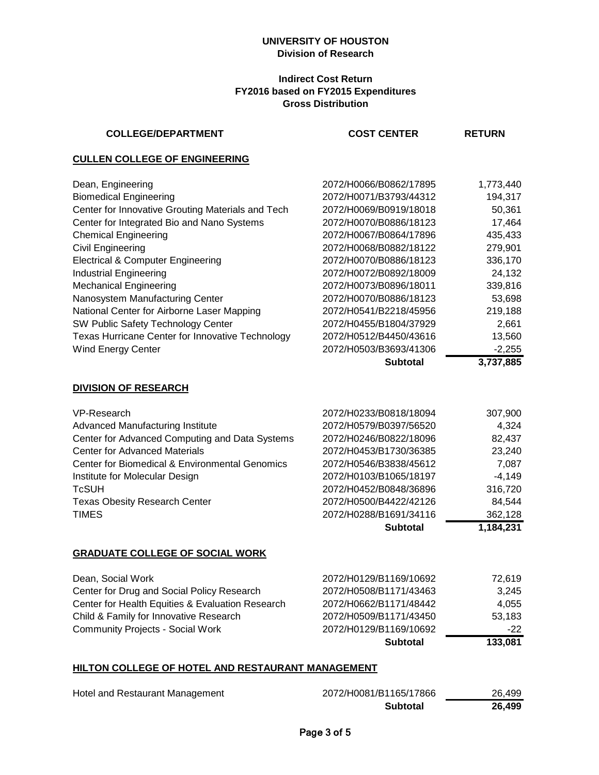### **Indirect Cost Return FY2016 based on FY2015 Expenditures Gross Distribution**

| <b>COLLEGE/DEPARTMENT</b>                         | <b>COST CENTER</b>     | <b>RETURN</b> |
|---------------------------------------------------|------------------------|---------------|
| <b>CULLEN COLLEGE OF ENGINEERING</b>              |                        |               |
| Dean, Engineering                                 | 2072/H0066/B0862/17895 | 1,773,440     |
| <b>Biomedical Engineering</b>                     | 2072/H0071/B3793/44312 | 194,317       |
| Center for Innovative Grouting Materials and Tech | 2072/H0069/B0919/18018 | 50,361        |
| Center for Integrated Bio and Nano Systems        | 2072/H0070/B0886/18123 | 17,464        |
| <b>Chemical Engineering</b>                       | 2072/H0067/B0864/17896 | 435,433       |
| Civil Engineering                                 | 2072/H0068/B0882/18122 | 279,901       |
| <b>Electrical &amp; Computer Engineering</b>      | 2072/H0070/B0886/18123 | 336,170       |
| <b>Industrial Engineering</b>                     | 2072/H0072/B0892/18009 | 24,132        |
| <b>Mechanical Engineering</b>                     | 2072/H0073/B0896/18011 | 339,816       |
| Nanosystem Manufacturing Center                   | 2072/H0070/B0886/18123 | 53,698        |
| National Center for Airborne Laser Mapping        | 2072/H0541/B2218/45956 | 219,188       |
| SW Public Safety Technology Center                | 2072/H0455/B1804/37929 | 2,661         |
| Texas Hurricane Center for Innovative Technology  | 2072/H0512/B4450/43616 | 13,560        |
| <b>Wind Energy Center</b>                         | 2072/H0503/B3693/41306 | $-2,255$      |
|                                                   | <b>Subtotal</b>        | 3,737,885     |
| <b>DIVISION OF RESEARCH</b>                       |                        |               |
| VP-Research                                       | 2072/H0233/B0818/18094 | 307,900       |
| Advanced Manufacturing Institute                  | 2072/H0579/B0397/56520 | 4,324         |
| Center for Advanced Computing and Data Systems    | 2072/H0246/B0822/18096 | 82,437        |
| <b>Center for Advanced Materials</b>              | 2072/H0453/B1730/36385 | 23,240        |
| Center for Biomedical & Environmental Genomics    | 2072/H0546/B3838/45612 | 7,087         |
| Institute for Molecular Design                    | 2072/H0103/B1065/18197 | $-4,149$      |
| <b>TcSUH</b>                                      | 2072/H0452/B0848/36896 | 316,720       |
| <b>Texas Obesity Research Center</b>              | 2072/H0500/B4422/42126 | 84,544        |
| <b>TIMES</b>                                      | 2072/H0288/B1691/34116 | 362,128       |
|                                                   | <b>Subtotal</b>        | 1,184,231     |
| <b>GRADUATE COLLEGE OF SOCIAL WORK</b>            |                        |               |
| Dean, Social Work                                 | 2072/H0129/B1169/10692 | 72,619        |
| Center for Drug and Social Policy Research        | 2072/H0508/B1171/43463 | 3,245         |
| Center for Health Equities & Evaluation Research  | 2072/H0662/B1171/48442 | 4,055         |
| Child & Family for Innovative Research            | 2072/H0509/B1171/43450 | 53,183        |
| <b>Community Projects - Social Work</b>           | 2072/H0129/B1169/10692 | $-22$         |
|                                                   | <b>Subtotal</b>        | 133,081       |
|                                                   |                        |               |

# **HILTON COLLEGE OF HOTEL AND RESTAURANT MANAGEMENT**

| Hotel and Restaurant Management | 2072/H0081/B1165/17866 | 26.499 |
|---------------------------------|------------------------|--------|
|                                 | <b>Subtotal</b>        | 26.499 |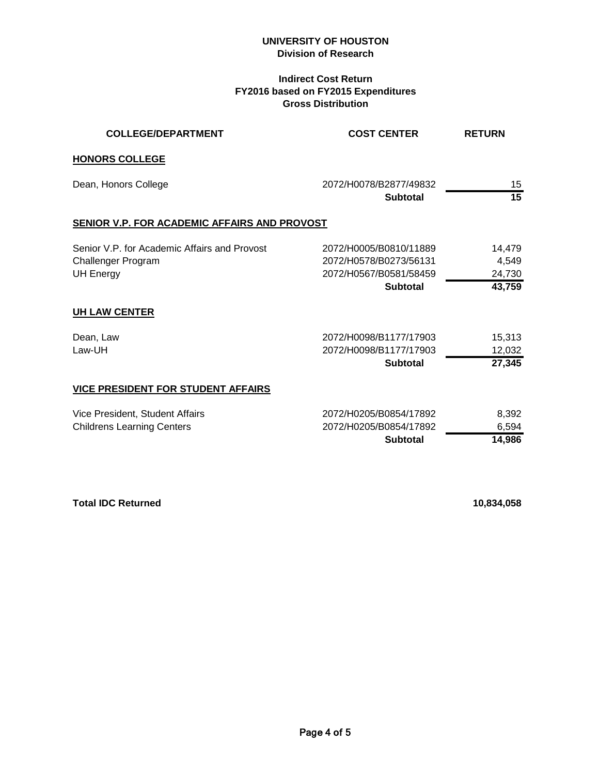# **Indirect Cost Return FY2016 based on FY2015 Expenditures Gross Distribution**

| <b>COLLEGE/DEPARTMENT</b>                                                              | <b>COST CENTER</b>                                                                            | <b>RETURN</b>                       |
|----------------------------------------------------------------------------------------|-----------------------------------------------------------------------------------------------|-------------------------------------|
| <b>HONORS COLLEGE</b>                                                                  |                                                                                               |                                     |
| Dean, Honors College                                                                   | 2072/H0078/B2877/49832<br><b>Subtotal</b>                                                     | 15<br>15                            |
| SENIOR V.P. FOR ACADEMIC AFFAIRS AND PROVOST                                           |                                                                                               |                                     |
| Senior V.P. for Academic Affairs and Provost<br>Challenger Program<br><b>UH Energy</b> | 2072/H0005/B0810/11889<br>2072/H0578/B0273/56131<br>2072/H0567/B0581/58459<br><b>Subtotal</b> | 14,479<br>4,549<br>24,730<br>43,759 |
| <b>UH LAW CENTER</b>                                                                   |                                                                                               |                                     |
| Dean, Law<br>Law-UH                                                                    | 2072/H0098/B1177/17903<br>2072/H0098/B1177/17903<br><b>Subtotal</b>                           | 15,313<br>12,032<br>27,345          |
| <b>VICE PRESIDENT FOR STUDENT AFFAIRS</b>                                              |                                                                                               |                                     |
| Vice President, Student Affairs<br><b>Childrens Learning Centers</b>                   | 2072/H0205/B0854/17892<br>2072/H0205/B0854/17892<br><b>Subtotal</b>                           | 8,392<br>6,594<br>14,986            |

**Total IDC Returned 10,834,058**